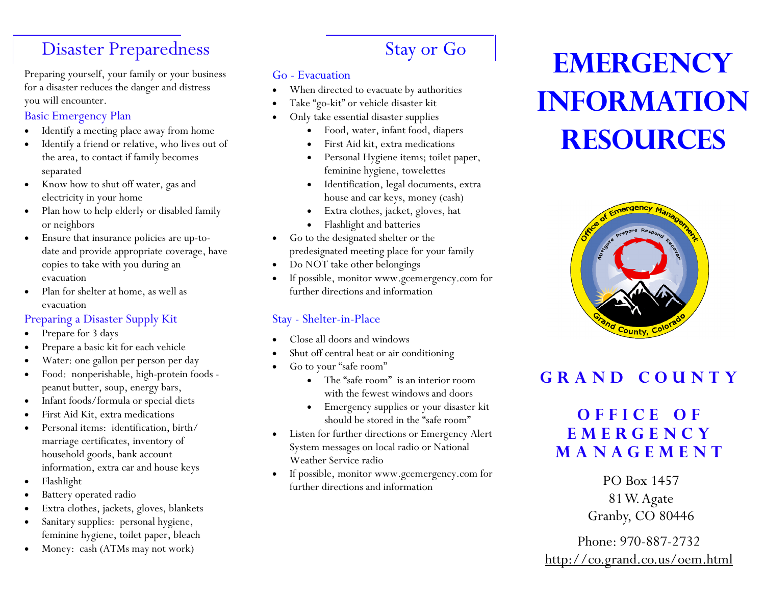## Disaster Preparedness

Preparing yourself, your family or your business for a disaster reduces the danger and distress you will encounter.

#### Basic Emergency Plan

- Identify a meeting place away from home
- Identify a friend or relative, who lives out of the area, to contact if family becomes separated
- Know how to shut off water, gas and electricity in your home
- Plan how to help elderly or disabled family or neighbors
- Ensure that insurance policies are up-todate and provide appropriate coverage, have copies to take with you during an evacuation
- Plan for shelter at home, as well as evacuation

#### Preparing a Disaster Supply Kit

- Prepare for 3 days
- Prepare a basic kit for each vehicle
- Water: one gallon per person per day
- Food: nonperishable, high-protein foods peanut butter, soup, energy bars,
- Infant foods/formula or special diets
- First Aid Kit, extra medications
- Personal items: identification, birth/marriage certificates, inventory of household goods, bank account information, extra car and house keys
- Flashlight
- Battery operated radio
- Extra clothes, jackets, gloves, blankets
- Sanitary supplies: personal hygiene, feminine hygiene, toilet paper, bleach
- Money: cash (ATMs may not work)

# Stay or Go

#### Go - Evacuation

- When directed to evacuate by authorities
- Take "go-kit" or vehicle disaster kit
- Only take essential disaster supplies
	- Food, water, infant food, diapers
	- First Aid kit, extra medications
	- Personal Hygiene items; toilet paper, feminine hygiene, towelettes
	- Identification, legal documents, extra house and car keys, money (cash)
	- Extra clothes, jacket, gloves, hat
	- Flashlight and batteries
- Go to the designated shelter or the predesignated meeting place for your family
- Do NOT take other belongings
- If possible, monitor www.gcemergency.com for further directions and information

#### Stay - Shelter-in-Place

- Close all doors and windows
- Shut off central heat or air conditioning
- Go to your "safe room"
	- The "safe room" is an interior room with the fewest windows and doors
	- Emergency supplies or your disaster kit should be stored in the "safe room"
- Listen for further directions or Emergency Alert System messages on local radio or National Weather Service radio
- If possible, monitor www.gcemergency.com for further directions and information and  $P$ O Box 1457

# EMERGENCY Information **RESOURCES**



## GRAND COUNTY

## OFFICE OF <sup>E</sup> <sup>M</sup> <sup>E</sup> <sup>R</sup> <sup>G</sup> <sup>E</sup> <sup>N</sup> <sup>C</sup> <sup>Y</sup> **MANAGEMENT**

81 W. Agate Granby, CO 80446

Phone: 970-887-2732 http://co.grand.co.us/oem.html